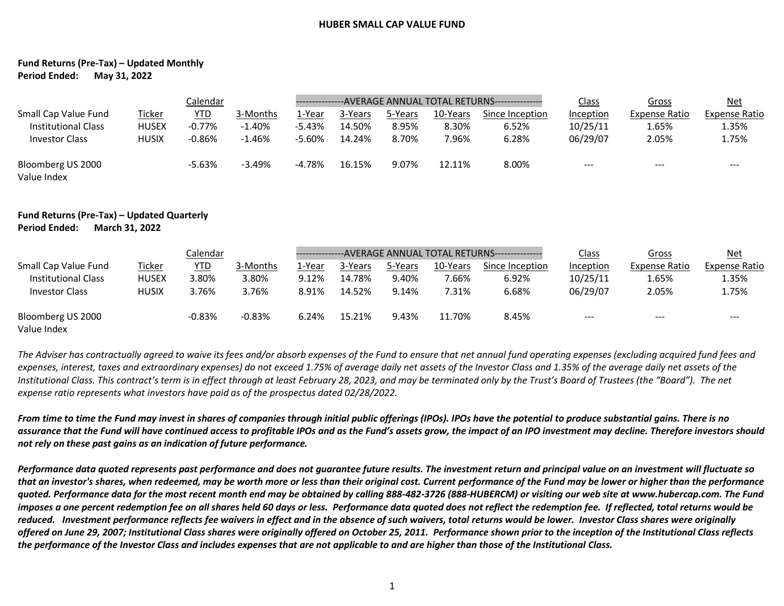## **HUBER SMALL CAP VALUE FUND**

## **Fund Returns (Pre-Tax) – Updated Monthly Period Ended: May 31, 2022**

|                                  | Calendar      |            |           |          | ---------------AVERAGE ANNUAL TOTAL RETURNS---------------- |         |          |                 |           | Gross                | <u>Net</u>    |
|----------------------------------|---------------|------------|-----------|----------|-------------------------------------------------------------|---------|----------|-----------------|-----------|----------------------|---------------|
| Small Cap Value Fund             | <b>Ticker</b> | <b>YTD</b> | 3-Months  | ⊥-Year   | 3-Years                                                     | 5-Years | 10-Years | Since Inception | Inception | <b>Expense Ratio</b> | Expense Ratio |
| <b>Institutional Class</b>       | <b>HUSEX</b>  | $-0.77\%$  | $-1.40%$  | $-5.43%$ | 14.50%                                                      | 8.95%   | 8.30%    | 6.52%           | 10/25/11  | 1.65%                | 1.35%         |
| <b>Investor Class</b>            | <b>HUSIX</b>  | $-0.86%$   | $-1.46\%$ | $-5.60%$ | 14.24%                                                      | 8.70%   | 7.96%    | 6.28%           | 06/29/07  | 2.05%                | 1.75%         |
| Bloomberg US 2000<br>Value Index |               | $-5.63%$   | $-3.49%$  | $-4.78%$ | 16.15%                                                      | 9.07%   | 12.11%   | 8.00%           | $--$      | $- - -$              | $- - -$       |

## **Fund Returns (Pre-Tax) – Updated Quarterly Period Ended: March 31, 2022**

|                                  | Calendar      |            |          |        | ---------------AVERAGE ANNUAL TOTAL RETURNS--------------- |         |          |                 |           | Gross         | <u>Net</u>    |
|----------------------------------|---------------|------------|----------|--------|------------------------------------------------------------|---------|----------|-----------------|-----------|---------------|---------------|
| Small Cap Value Fund             | <b>Ticker</b> | <u>YTD</u> | 3-Months | 1-Year | 3-Years                                                    | 5-Years | 10-Years | Since Inception | Inception | Expense Ratio | Expense Ratio |
| Institutional Class              | <b>HUSEX</b>  | 3.80%      | 3.80%    | 9.12%  | 14.78%                                                     | 9.40%   | 7.66%    | 6.92%           | 10/25/11  | 1.65%         | 1.35%         |
| <b>Investor Class</b>            | <b>HUSIX</b>  | 3.76%      | 3.76%    | 8.91%  | 14.52%                                                     | 9.14%   | 7.31%    | 6.68%           | 06/29/07  | 2.05%         | 1.75%         |
| Bloomberg US 2000<br>Value Index |               | $-0.83%$   | $-0.83%$ | 6.24%  | 15.21%                                                     | 9.43%   | 11.70%   | 8.45%           | $- - -$   | $- - -$       | ---           |

*The Adviser has contractually agreed to waive its fees and/or absorb expenses of the Fund to ensure that net annual fund operating expenses (excluding acquired fund fees and expenses, interest, taxes and extraordinary expenses) do not exceed 1.75% of average daily net assets of the Investor Class and 1.35% of the average daily net assets of the Institutional Class. This contract's term is in effect through at least February 28, 2023, and may be terminated only by the Trust's Board of Trustees (the "Board"). The net expense ratio represents what investors have paid as of the prospectus dated 02/28/2022.*

*From time to time the Fund may invest in shares of companies through initial public offerings (IPOs). IPOs have the potential to produce substantial gains. There is no assurance that the Fund will have continued access to profitable IPOs and as the Fund's assets grow, the impact of an IPO investment may decline. Therefore investors should not rely on these past gains as an indication of future performance.*

*Performance data quoted represents past performance and does not guarantee future results. The investment return and principal value on an investment will fluctuate so that an investor's shares, when redeemed, may be worth more or less than their original cost. Current performance of the Fund may be lower or higher than the performance quoted. Performance data for the most recent month end may be obtained by calling 888-482-3726 (888-HUBERCM) or visiting our web site at www.hubercap.com. The Fund imposes a one percent redemption fee on all shares held 60 days or less. Performance data quoted does not reflect the redemption fee. If reflected, total returns would be*  reduced. Investment performance reflects fee waivers in effect and in the absence of such waivers, total returns would be lower. Investor Class shares were originally *offered on June 29, 2007; Institutional Class shares were originally offered on October 25, 2011. Performance shown prior to the inception of the Institutional Class reflects the performance of the Investor Class and includes expenses that are not applicable to and are higher than those of the Institutional Class.*